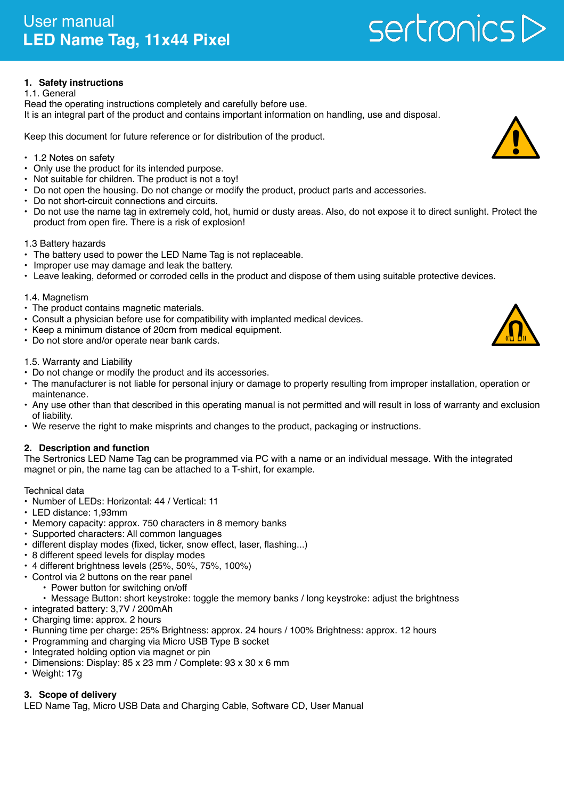# **1. Safety instructions**

#### 1.1. General

Read the operating instructions completely and carefully before use. It is an integral part of the product and contains important information on handling, use and disposal.

Keep this document for future reference or for distribution of the product.

- 1.2 Notes on safety
- Only use the product for its intended purpose.
- Not suitable for children. The product is not a toy!
- Do not open the housing. Do not change or modify the product, product parts and accessories.
- Do not short-circuit connections and circuits.
- Do not use the name tag in extremely cold, hot, humid or dusty areas. Also, do not expose it to direct sunlight. Protect the product from open fire. There is a risk of explosion!

#### 1.3 Battery hazards

- The battery used to power the LED Name Tag is not replaceable.
- Improper use may damage and leak the battery.
- Leave leaking, deformed or corroded cells in the product and dispose of them using suitable protective devices.

#### 1.4. Magnetism

- The product contains magnetic materials.
- Consult a physician before use for compatibility with implanted medical devices.
- Keep a minimum distance of 20cm from medical equipment.
- Do not store and/or operate near bank cards.

#### 1.5. Warranty and Liability

- Do not change or modify the product and its accessories.
- The manufacturer is not liable for personal injury or damage to property resulting from improper installation, operation or maintenance.
- Any use other than that described in this operating manual is not permitted and will result in loss of warranty and exclusion of liability.
- We reserve the right to make misprints and changes to the product, packaging or instructions.

## **2. Description and function**

The Sertronics LED Name Tag can be programmed via PC with a name or an individual message. With the integrated magnet or pin, the name tag can be attached to a T-shirt, for example.

Technical data

- Number of LEDs: Horizontal: 44 / Vertical: 11
- LED distance: 1,93mm
- Memory capacity: approx. 750 characters in 8 memory banks
- Supported characters: All common languages
- different display modes (fixed, ticker, snow effect, laser, flashing...)
- 8 different speed levels for display modes
- 4 different brightness levels (25%, 50%, 75%, 100%)
- Control via 2 buttons on the rear panel
	- Power button for switching on/off
	- Message Button: short keystroke: toggle the memory banks / long keystroke: adjust the brightness
- integrated battery: 3,7V / 200mAh
- Charging time: approx. 2 hours
- Running time per charge: 25% Brightness: approx. 24 hours / 100% Brightness: approx. 12 hours
- Programming and charging via Micro USB Type B socket
- Integrated holding option via magnet or pin
- Dimensions: Display: 85 x 23 mm / Complete: 93 x 30 x 6 mm
- Weight: 17g

## **3. Scope of delivery**

LED Name Tag, Micro USB Data and Charging Cable, Software CD, User Manual